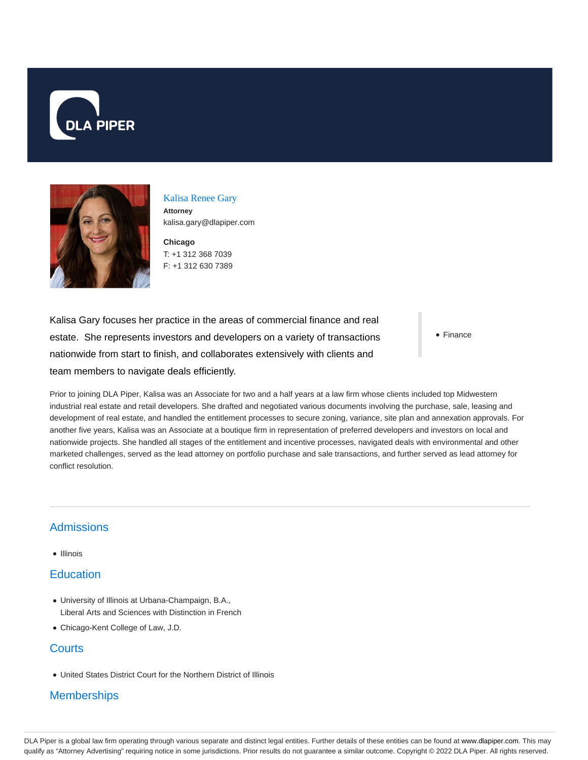



Kalisa Renee Gary **Attorney** kalisa.gary@dlapiper.com

**Chicago** T: +1 312 368 7039 F: +1 312 630 7389

Kalisa Gary focuses her practice in the areas of commercial finance and real estate. She represents investors and developers on a variety of transactions nationwide from start to finish, and collaborates extensively with clients and team members to navigate deals efficiently.

• Finance

Prior to joining DLA Piper, Kalisa was an Associate for two and a half years at a law firm whose clients included top Midwestern industrial real estate and retail developers. She drafted and negotiated various documents involving the purchase, sale, leasing and development of real estate, and handled the entitlement processes to secure zoning, variance, site plan and annexation approvals. For another five years, Kalisa was an Associate at a boutique firm in representation of preferred developers and investors on local and nationwide projects. She handled all stages of the entitlement and incentive processes, navigated deals with environmental and other marketed challenges, served as the lead attorney on portfolio purchase and sale transactions, and further served as lead attorney for conflict resolution.

## Admissions

 $\bullet$  Illinois

## **Education**

- University of Illinois at Urbana-Champaign, B.A., Liberal Arts and Sciences with Distinction in French
- Chicago-Kent College of Law, J.D.

## **Courts**

United States District Court for the Northern District of Illinois

## **Memberships**

DLA Piper is a global law firm operating through various separate and distinct legal entities. Further details of these entities can be found at www.dlapiper.com. This may qualify as "Attorney Advertising" requiring notice in some jurisdictions. Prior results do not guarantee a similar outcome. Copyright @ 2022 DLA Piper. All rights reserved.